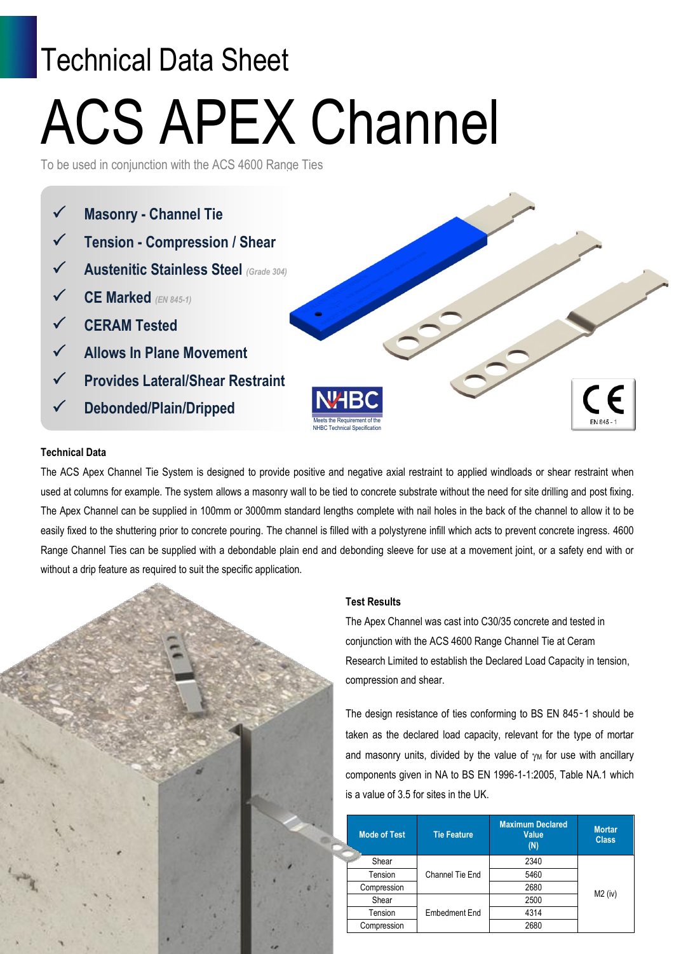# Technical Data Sheet ACS APEX Channel

To be used in conjunction with the ACS 4600 Range Ties



#### **Technical Data**

The ACS Apex Channel Tie System is designed to provide positive and negative axial restraint to applied windloads or shear restraint when used at columns for example. The system allows a masonry wall to be tied to concrete substrate without the need for site drilling and post fixing. The Apex Channel can be supplied in 100mm or 3000mm standard lengths complete with nail holes in the back of the channel to allow it to be easily fixed to the shuttering prior to concrete pouring. The channel is filled with a polystyrene infill which acts to prevent concrete ingress. 4600 Range Channel Ties can be supplied with a debondable plain end and debonding sleeve for use at a movement joint, or a safety end with or without a drip feature as required to suit the specific application.



#### **Test Results**

The Apex Channel was cast into C30/35 concrete and tested in conjunction with the ACS 4600 Range Channel Tie at Ceram Research Limited to establish the Declared Load Capacity in tension, compression and shear.

The design resistance of ties conforming to BS EN 845-1 should be taken as the declared load capacity, relevant for the type of mortar and masonry units, divided by the value of  $\gamma_M$  for use with ancillary components given in NA to BS EN 1996-1-1:2005, Table NA.1 which is a value of 3.5 for sites in the UK.

|  | <b>Mode of Test</b> | <b>Tie Feature</b> | <b>Maximum Declared</b><br><b>Value</b><br>(N) | <b>Mortar</b><br><b>Class</b> |
|--|---------------------|--------------------|------------------------------------------------|-------------------------------|
|  | Shear               | Channel Tie End    | 2340                                           | $M2$ (iv)                     |
|  | Tension             |                    | 5460                                           |                               |
|  | Compression         |                    | 2680                                           |                               |
|  | Shear               | Embedment End      | 2500                                           |                               |
|  | Tension             |                    | 4314                                           |                               |
|  | Compression         |                    | 2680                                           |                               |